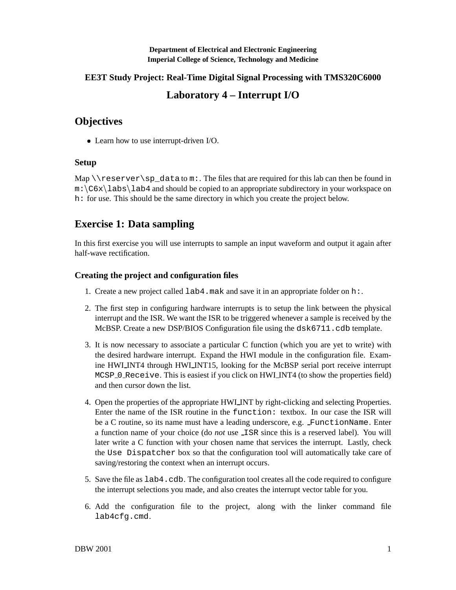#### **Department of Electrical and Electronic Engineering Imperial College of Science, Technology and Medicine**

#### **EE3T Study Project: Real-Time Digital Signal Processing with TMS320C6000**

# **Laboratory 4 – Interrupt I/O**

## **Objectives**

Learn how to use interrupt-driven I/O.

#### **Setup**

Map  $\text{Map} \, \text{sup} \, \text{sup} \, \text{sup} \, \text{sup} \, \text{sup} \, \text{sup} \, \text{sup} \, \text{sup} \, \text{sup} \, \text{sup} \, \text{sup} \, \text{sup} \, \text{sup} \, \text{sup} \, \text{sup} \, \text{sup} \, \text{sup} \, \text{sup} \, \text{sup} \, \text{sup} \, \text{sup} \, \text{sup} \, \text{sup} \, \text{sup} \, \text{sup} \, \text{sup} \, \text{sup} \, \text{sup} \, \text{sup} \, \text{sup} \$ m: \C6x\labs\lab4 and should be copied to an appropriate subdirectory in your workspace on h: for use. This should be the same directory in which you create the project below.

### **Exercise 1: Data sampling**

In this first exercise you will use interrupts to sample an input waveform and output it again after half-wave rectification.

#### **Creating the project and configuration files**

- 1. Create a new project called  $\text{lab4}$ . mak and save it in an appropriate folder on h:.
- 2. The first step in configuring hardware interrupts is to setup the link between the physical interrupt and the ISR. We want the ISR to be triggered whenever a sample is received by the McBSP. Create a new DSP/BIOS Configuration file using the dsk6711.cdb template.
- 3. It is now necessary to associate a particular C function (which you are yet to write) with the desired hardware interrupt. Expand the HWI module in the configuration file. Examine HWI INT4 through HWI INT15, looking for the McBSP serial port receive interrupt MCSP<sub>-0</sub> Receive. This is easiest if you click on HWI<sub>-</sub>INT4 (to show the properties field) and then cursor down the list.
- 4. Open the properties of the appropriate HWI INT by right-clicking and selecting Properties. Enter the name of the ISR routine in the function: textbox. In our case the ISR will be a C routine, so its name must have a leading underscore, e.g. FunctionName. Enter a function name of your choice (do *not* use ISR since this is a reserved label). You will later write a C function with your chosen name that services the interrupt. Lastly, check the Use Dispatcher box so that the configuration tool will automatically take care of saving/restoring the context when an interrupt occurs.
- 5. Save the file as lab4.cdb. The configuration tool creates all the code required to configure the interrupt selections you made, and also creates the interrupt vector table for you.
- 6. Add the configuration file to the project, along with the linker command file lab4cfg.cmd.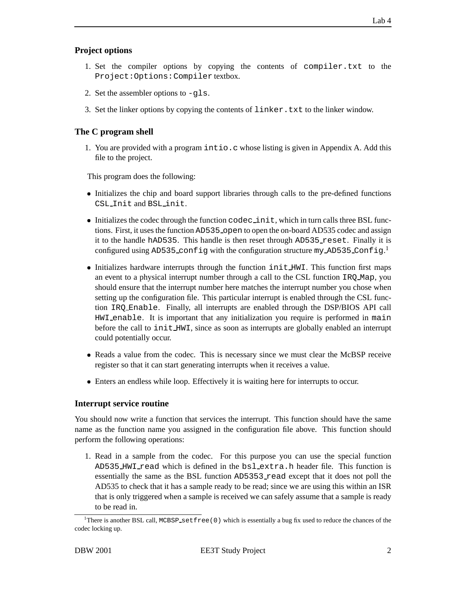#### **Project options**

- 1. Set the compiler options by copying the contents of compiler.txt to the Project:Options:Compiler textbox.
- 2. Set the assembler options to -gls.
- 3. Set the linker options by copying the contents of linker.txt to the linker window.

#### **The C program shell**

1. You are provided with a program intio.c whose listing is given in Appendix A. Add this file to the project.

This program does the following:

- Initializes the chip and board support libraries through calls to the pre-defined functions CSL Init and BSL init.
- Initializes the codec through the function codecinit, which in turn calls three BSL functions. First, it uses the function AD535 open to open the on-board AD535 codec and assign it to the handle hAD535. This handle is then reset through AD535 reset. Finally it is configured using AD535\_config with the configuration structure my\_AD535\_Config.<sup>1</sup>
- Initializes hardware interrupts through the function init HWI. This function first maps an event to a physical interrupt number through a call to the CSL function IRQ Map, you should ensure that the interrupt number here matches the interrupt number you chose when setting up the configuration file. This particular interrupt is enabled through the CSL function IRQ Enable. Finally, all interrupts are enabled through the DSP/BIOS API call HWI enable. It is important that any initialization you require is performed in main before the call to init HWI, since as soon as interrupts are globally enabled an interrupt could potentially occur.
- Reads a value from the codec. This is necessary since we must clear the McBSP receive register so that it can start generating interrupts when it receives a value.
- Enters an endless while loop. Effectively it is waiting here for interrupts to occur.

#### **Interrupt service routine**

You should now write a function that services the interrupt. This function should have the same name as the function name you assigned in the configuration file above. This function should perform the following operations:

1. Read in a sample from the codec. For this purpose you can use the special function AD535 HWI read which is defined in the bsl\_extra.h header file. This function is essentially the same as the BSL function  $AD5353$  read except that it does not poll the AD535 to check that it has a sample ready to be read; since we are using this within an ISR that is only triggered when a sample is received we can safely assume that a sample is ready to be read in.

<sup>&</sup>lt;sup>1</sup>There is another BSL call, MCBSP\_setfree(0) which is essentially a bug fix used to reduce the chances of the codec locking up.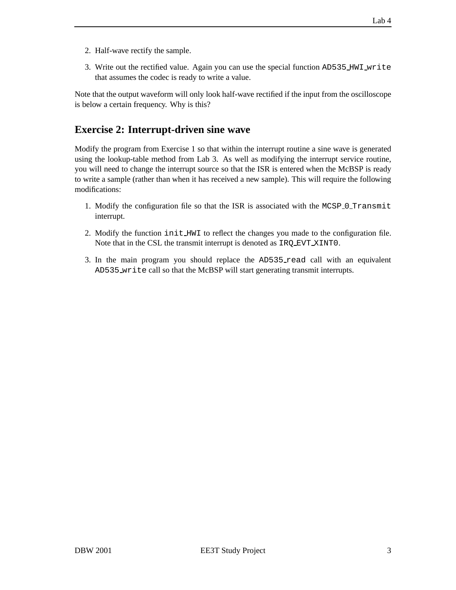- 2. Half-wave rectify the sample.
- 3. Write out the rectified value. Again you can use the special function AD535 HWI write that assumes the codec is ready to write a value.

Note that the output waveform will only look half-wave rectified if the input from the oscilloscope is below a certain frequency. Why is this?

## **Exercise 2: Interrupt-driven sine wave**

Modify the program from Exercise 1 so that within the interrupt routine a sine wave is generated using the lookup-table method from Lab 3. As well as modifying the interrupt service routine, you will need to change the interrupt source so that the ISR is entered when the McBSP is ready to write a sample (rather than when it has received a new sample). This will require the following modifications:

- 1. Modify the configuration file so that the ISR is associated with the MCSP<sub>-0</sub>-Transmit interrupt.
- 2. Modify the function init HWI to reflect the changes you made to the configuration file. Note that in the CSL the transmit interrupt is denoted as IRQ EVT XINT0.
- 3. In the main program you should replace the  $AD535$  read call with an equivalent AD535 write call so that the McBSP will start generating transmit interrupts.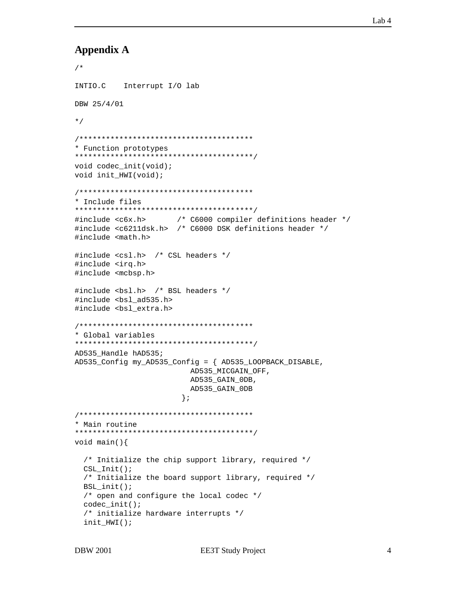### **Appendix A**

```
/*
INTIO.C
       Interrupt I/O lab
DBW 25/4/01
\star /
* Function prototypes
void codec_init(void);
void init_HWI(void);
* Include files
/* C6000 compiler definitions header */
#include <c6x.h>
#include <c6211dsk.h> /* C6000 DSK definitions header */
#include <math.h>
#include <csl.h> /* CSL headers */
#include <irq.h>
#include <mcbsp.h>
#include <bs1.h> /* BSL headers */
#include <bs1 ad535.h>
#include <bsl_extra.h>
* Global variables
AD535_Handle hAD535;
AD535_Config my_AD535_Config = { AD535_LOOPBACK_DISABLE,
                  AD535_MICGAIN_OFF,
                  AD535_GAIN_0DB,
                  AD535_GAIN_0DB
                 \} ;
* Main routine
void main()/* Initialize the chip support library, required */
 CSL_Init()/* Initialize the board support library, required */
 BSL\_init()/* open and configure the local codec */
 codec\_init()/* initialize hardware interrupts */
 init_HWI();
```